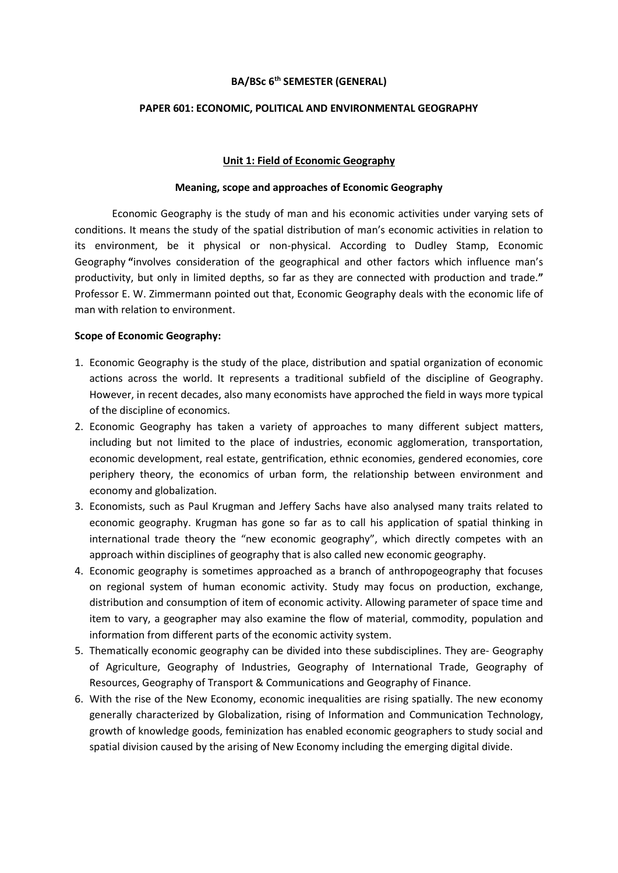## **BA/BSc 6th SEMESTER (GENERAL)**

# **PAPER 601: ECONOMIC, POLITICAL AND ENVIRONMENTAL GEOGRAPHY**

## **Unit 1: Field of Economic Geography**

#### **Meaning, scope and approaches of Economic Geography**

Economic Geography is the study of man and his economic activities under varying sets of conditions. It means the study of the spatial distribution of man's economic activities in relation to its environment, be it physical or non-physical. According to Dudley Stamp, Economic Geography **"**involves consideration of the geographical and other factors which influence man's productivity, but only in limited depths, so far as they are connected with production and trade.**"** Professor E. W. Zimmermann pointed out that, Economic Geography deals with the economic life of man with relation to environment.

## **Scope of Economic Geography:**

- 1. Economic Geography is the study of the place, distribution and spatial organization of economic actions across the world. It represents a traditional subfield of the discipline of Geography. However, in recent decades, also many economists have approched the field in ways more typical of the discipline of economics.
- 2. Economic Geography has taken a variety of approaches to many different subject matters, including but not limited to the place of industries, economic agglomeration, transportation, economic development, real estate, gentrification, ethnic economies, gendered economies, core periphery theory, the economics of urban form, the relationship between environment and economy and globalization.
- 3. Economists, such as Paul Krugman and Jeffery Sachs have also analysed many traits related to economic geography. Krugman has gone so far as to call his application of spatial thinking in international trade theory the "new economic geography", which directly competes with an approach within disciplines of geography that is also called new economic geography.
- 4. Economic geography is sometimes approached as a branch of anthropogeography that focuses on regional system of human economic activity. Study may focus on production, exchange, distribution and consumption of item of economic activity. Allowing parameter of space time and item to vary, a geographer may also examine the flow of material, commodity, population and information from different parts of the economic activity system.
- 5. Thematically economic geography can be divided into these subdisciplines. They are- Geography of Agriculture, Geography of Industries, Geography of International Trade, Geography of Resources, Geography of Transport & Communications and Geography of Finance.
- 6. With the rise of the New Economy, economic inequalities are rising spatially. The new economy generally characterized by Globalization, rising of Information and Communication Technology, growth of knowledge goods, feminization has enabled economic geographers to study social and spatial division caused by the arising of New Economy including the emerging digital divide.